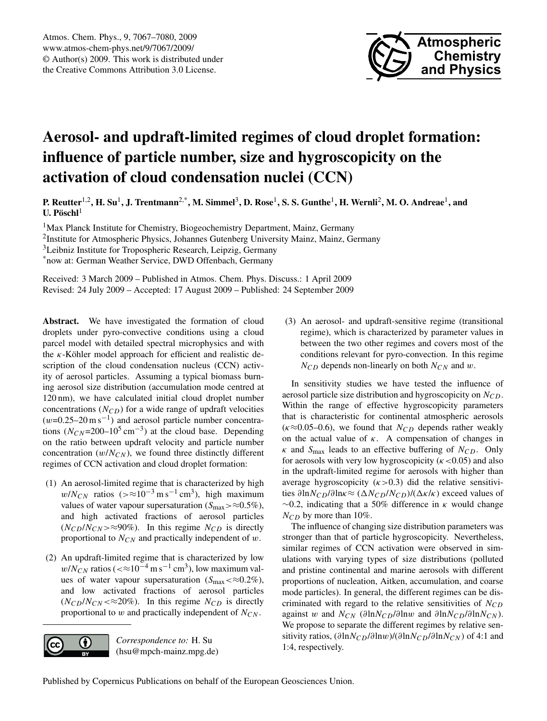

# **Aerosol- and updraft-limited regimes of cloud droplet formation: influence of particle number, size and hygroscopicity on the activation of cloud condensation nuclei (CCN)**

**P. Reutter**1,2**, H. Su**<sup>1</sup> **, J. Trentmann**2,\***, M. Simmel**<sup>3</sup> **, D. Rose**<sup>1</sup> **, S. S. Gunthe**<sup>1</sup> **, H. Wernli**<sup>2</sup> **, M. O. Andreae**<sup>1</sup> **, and U.** Pöschl<sup>1</sup>

<sup>1</sup>Max Planck Institute for Chemistry, Biogeochemistry Department, Mainz, Germany

<sup>2</sup>Institute for Atmospheric Physics, Johannes Gutenberg University Mainz, Mainz, Germany

<sup>3</sup>Leibniz Institute for Tropospheric Research, Leipzig, Germany

\*now at: German Weather Service, DWD Offenbach, Germany

Received: 3 March 2009 – Published in Atmos. Chem. Phys. Discuss.: 1 April 2009 Revised: 24 July 2009 – Accepted: 17 August 2009 – Published: 24 September 2009

Abstract. We have investigated the formation of cloud droplets under pyro-convective conditions using a cloud parcel model with detailed spectral microphysics and with the  $\kappa$ -Köhler model approach for efficient and realistic description of the cloud condensation nucleus (CCN) activity of aerosol particles. Assuming a typical biomass burning aerosol size distribution (accumulation mode centred at 120 nm), we have calculated initial cloud droplet number concentrations  $(N_{CD})$  for a wide range of updraft velocities  $(w=0.25-20 \text{ m s}^{-1})$  and aerosol particle number concentrations  $(N_{CN} = 200 - 10^5 \text{ cm}^{-3})$  at the cloud base. Depending on the ratio between updraft velocity and particle number concentration  $(w/N_{CN})$ , we found three distinctly different regimes of CCN activation and cloud droplet formation:

- (1) An aerosol-limited regime that is characterized by high  $w/N_{CN}$  ratios (> ≈10<sup>-3</sup> m s<sup>-1</sup> cm<sup>3</sup>), high maximum values of water vapour supersaturation ( $S_{\text{max}} > \approx 0.5\%$ ), and high activated fractions of aerosol particles  $(N_{CD}/N_{CN} > \approx 90\%)$ . In this regime  $N_{CD}$  is directly proportional to  $N_{CN}$  and practically independent of w.
- (2) An updraft-limited regime that is characterized by low  $w/N_{CN}$  ratios ( $\ll 10^{-4}$  m s<sup>-1</sup> cm<sup>3</sup>), low maximum values of water vapour supersaturation ( $S_{\text{max}} < \approx 0.2\%$ ), and low activated fractions of aerosol particles  $(N_{CD}/N_{CN} \ll 20\%)$ . In this regime  $N_{CD}$  is directly proportional to  $w$  and practically independent of  $N_{CN}$ .



*Correspondence to:* H. Su (hsu@mpch-mainz.mpg.de) (3) An aerosol- and updraft-sensitive regime (transitional regime), which is characterized by parameter values in between the two other regimes and covers most of the conditions relevant for pyro-convection. In this regime  $N_{CD}$  depends non-linearly on both  $N_{CN}$  and w.

In sensitivity studies we have tested the influence of aerosol particle size distribution and hygroscopicity on  $N_{CD}$ . Within the range of effective hygroscopicity parameters that is characteristic for continental atmospheric aerosols  $(\kappa \approx 0.05-0.6)$ , we found that  $N_{CD}$  depends rather weakly on the actual value of  $\kappa$ . A compensation of changes in  $\kappa$  and  $S_{\text{max}}$  leads to an effective buffering of  $N_{CD}$ . Only for aerosols with very low hygroscopicity ( $\kappa$  <0.05) and also in the updraft-limited regime for aerosols with higher than average hygroscopicity  $(\kappa > 0.3)$  did the relative sensitivities  $\partial \ln N_{CD}/\partial \ln \kappa \approx (\Delta N_{CD}/N_{CD})/(\Delta \kappa / \kappa)$  exceed values of  $\sim$ 0.2, indicating that a 50% difference in  $\kappa$  would change  $N_{CD}$  by more than 10%.

The influence of changing size distribution parameters was stronger than that of particle hygroscopicity. Nevertheless, similar regimes of CCN activation were observed in simulations with varying types of size distributions (polluted and pristine continental and marine aerosols with different proportions of nucleation, Aitken, accumulation, and coarse mode particles). In general, the different regimes can be discriminated with regard to the relative sensitivities of  $N_{CD}$ against w and  $N_{CN}$  (∂ln $N_{CD}/\partial \ln w$  and ∂ln $N_{CD}/\partial \ln N_{CN}$ ). We propose to separate the different regimes by relative sensitivity ratios,  $(\partial \ln N_{CD}/\partial \ln W_{CD}/\partial \ln N_{CN})$  of 4:1 and 1:4, respectively.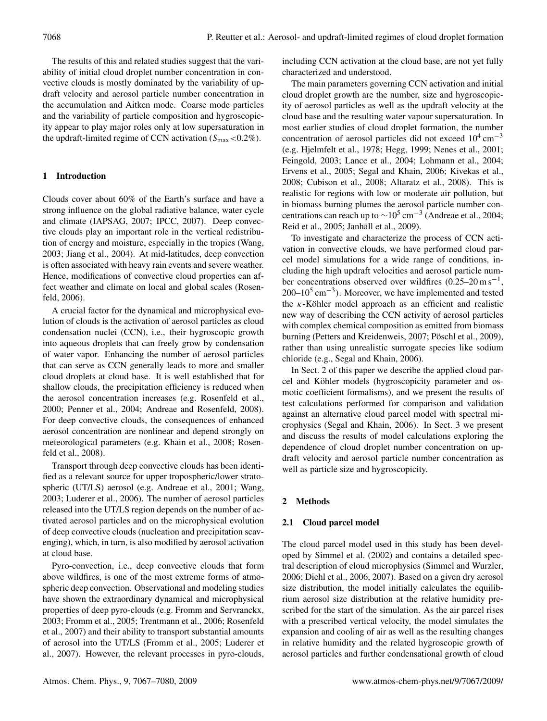The results of this and related studies suggest that the variability of initial cloud droplet number concentration in convective clouds is mostly dominated by the variability of updraft velocity and aerosol particle number concentration in the accumulation and Aitken mode. Coarse mode particles and the variability of particle composition and hygroscopicity appear to play major roles only at low supersaturation in the updraft-limited regime of CCN activation  $(S_{\text{max}} < 0.2\%)$ .

# **1 Introduction**

Clouds cover about 60% of the Earth's surface and have a strong influence on the global radiative balance, water cycle and climate (IAPSAG, 2007; IPCC, 2007). Deep convective clouds play an important role in the vertical redistribution of energy and moisture, especially in the tropics (Wang, 2003; Jiang et al., 2004). At mid-latitudes, deep convection is often associated with heavy rain events and severe weather. Hence, modifications of convective cloud properties can affect weather and climate on local and global scales (Rosenfeld, 2006).

A crucial factor for the dynamical and microphysical evolution of clouds is the activation of aerosol particles as cloud condensation nuclei (CCN), i.e., their hygroscopic growth into aqueous droplets that can freely grow by condensation of water vapor. Enhancing the number of aerosol particles that can serve as CCN generally leads to more and smaller cloud droplets at cloud base. It is well established that for shallow clouds, the precipitation efficiency is reduced when the aerosol concentration increases (e.g. Rosenfeld et al., 2000; Penner et al., 2004; Andreae and Rosenfeld, 2008). For deep convective clouds, the consequences of enhanced aerosol concentration are nonlinear and depend strongly on meteorological parameters (e.g. Khain et al., 2008; Rosenfeld et al., 2008).

Transport through deep convective clouds has been identified as a relevant source for upper tropospheric/lower stratospheric (UT/LS) aerosol (e.g. Andreae et al., 2001; Wang, 2003; Luderer et al., 2006). The number of aerosol particles released into the UT/LS region depends on the number of activated aerosol particles and on the microphysical evolution of deep convective clouds (nucleation and precipitation scavenging), which, in turn, is also modified by aerosol activation at cloud base.

Pyro-convection, i.e., deep convective clouds that form above wildfires, is one of the most extreme forms of atmospheric deep convection. Observational and modeling studies have shown the extraordinary dynamical and microphysical properties of deep pyro-clouds (e.g. Fromm and Servranckx, 2003; Fromm et al., 2005; Trentmann et al., 2006; Rosenfeld et al., 2007) and their ability to transport substantial amounts of aerosol into the UT/LS (Fromm et al., 2005; Luderer et al., 2007). However, the relevant processes in pyro-clouds, including CCN activation at the cloud base, are not yet fully characterized and understood.

The main parameters governing CCN activation and initial cloud droplet growth are the number, size and hygroscopicity of aerosol particles as well as the updraft velocity at the cloud base and the resulting water vapour supersaturation. In most earlier studies of cloud droplet formation, the number concentration of aerosol particles did not exceed  $10^4 \text{ cm}^{-3}$ (e.g. Hjelmfelt et al., 1978; Hegg, 1999; Nenes et al., 2001; Feingold, 2003; Lance et al., 2004; Lohmann et al., 2004; Ervens et al., 2005; Segal and Khain, 2006; Kivekas et al., 2008; Cubison et al., 2008; Altaratz et al., 2008). This is realistic for regions with low or moderate air pollution, but in biomass burning plumes the aerosol particle number concentrations can reach up to  $\sim 10^5$  cm<sup>-3</sup> (Andreae et al., 2004; Reid et al., 2005; Janhäll et al., 2009).

To investigate and characterize the process of CCN activation in convective clouds, we have performed cloud parcel model simulations for a wide range of conditions, including the high updraft velocities and aerosol particle number concentrations observed over wildfires  $(0.25-20 \text{ m s}^{-1})$ ,  $200-10^5$  cm<sup>-3</sup>). Moreover, we have implemented and tested the  $\kappa$ -Köhler model approach as an efficient and realistic new way of describing the CCN activity of aerosol particles with complex chemical composition as emitted from biomass burning (Petters and Kreidenweis, 2007; Pöschl et al., 2009), rather than using unrealistic surrogate species like sodium chloride (e.g., Segal and Khain, 2006).

In Sect. 2 of this paper we describe the applied cloud parcel and Köhler models (hygroscopicity parameter and osmotic coefficient formalisms), and we present the results of test calculations performed for comparison and validation against an alternative cloud parcel model with spectral microphysics (Segal and Khain, 2006). In Sect. 3 we present and discuss the results of model calculations exploring the dependence of cloud droplet number concentration on updraft velocity and aerosol particle number concentration as well as particle size and hygroscopicity.

## **2 Methods**

## **2.1 Cloud parcel model**

The cloud parcel model used in this study has been developed by Simmel et al. (2002) and contains a detailed spectral description of cloud microphysics (Simmel and Wurzler, 2006; Diehl et al., 2006, 2007). Based on a given dry aerosol size distribution, the model initially calculates the equilibrium aerosol size distribution at the relative humidity prescribed for the start of the simulation. As the air parcel rises with a prescribed vertical velocity, the model simulates the expansion and cooling of air as well as the resulting changes in relative humidity and the related hygroscopic growth of aerosol particles and further condensational growth of cloud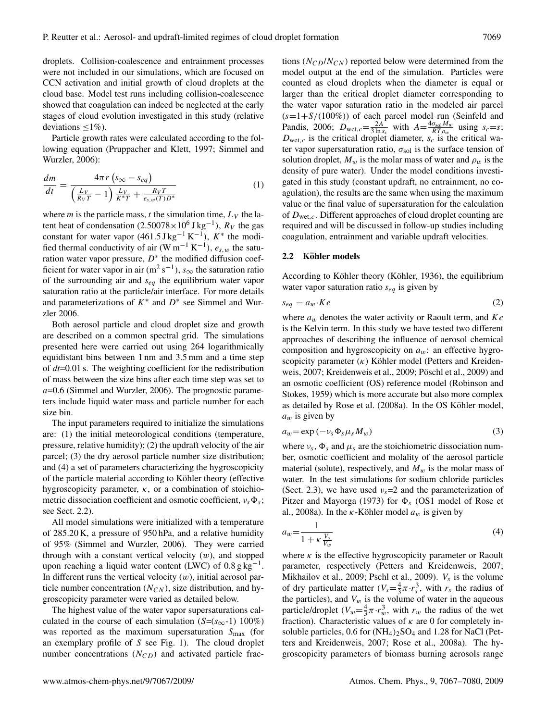droplets. Collision-coalescence and entrainment processes were not included in our simulations, which are focused on CCN activation and initial growth of cloud droplets at the cloud base. Model test runs including collision-coalescence showed that coagulation can indeed be neglected at the early stages of cloud evolution investigated in this study (relative deviations  $\leq 1\%$ ).

Particle growth rates were calculated according to the following equation (Pruppacher and Klett, 1997; Simmel and Wurzler, 2006):

$$
\frac{dm}{dt} = \frac{4\pi r \left(s_{\infty} - s_{eq}\right)}{\left(\frac{L_V}{R_V T} - 1\right) \frac{L_V}{K^* T} + \frac{R_V T}{e_{s,w}(T) D^*}}
$$
(1)

where *m* is the particle mass, *t* the simulation time,  $L_V$  the latent heat of condensation  $(2.50078 \times 10^6 \,\text{J\,kg}^{-1})$ ,  $R_V$  the gas constant for water vapor  $(461.5 \text{ J kg}^{-1} \text{ K}^{-1})$ ,  $K^*$  the modified thermal conductivity of air (W m<sup>-1</sup> K<sup>-1</sup>),  $e_{s,w}$  the saturation water vapor pressure,  $D^*$  the modified diffusion coefficient for water vapor in air  $(m^2 s^{-1})$ ,  $s_{\infty}$  the saturation ratio of the surrounding air and  $s_{eq}$  the equilibrium water vapor saturation ratio at the particle/air interface. For more details and parameterizations of  $K^*$  and  $D^*$  see Simmel and Wurzler 2006.

Both aerosol particle and cloud droplet size and growth are described on a common spectral grid. The simulations presented here were carried out using 264 logarithmically equidistant bins between 1 nm and 3.5 mm and a time step of *dt*=0.01 s. The weighting coefficient for the redistribution of mass between the size bins after each time step was set to  $a=0.6$  (Simmel and Wurzler, 2006). The prognostic parameters include liquid water mass and particle number for each size bin.

The input parameters required to initialize the simulations are: (1) the initial meteorological conditions (temperature, pressure, relative humidity); (2) the updraft velocity of the air parcel; (3) the dry aerosol particle number size distribution; and (4) a set of parameters characterizing the hygroscopicity of the particle material according to Köhler theory (effective hygroscopicity parameter,  $\kappa$ , or a combination of stoichiometric dissociation coefficient and osmotic coefficient,  $v_s \Phi_s$ ; see Sect. 2.2).

All model simulations were initialized with a temperature of 285.20 K, a pressure of 950 hPa, and a relative humidity of 95% (Simmel and Wurzler, 2006). They were carried through with a constant vertical velocity  $(w)$ , and stopped upon reaching a liquid water content (LWC) of  $0.8 \text{ g kg}^{-1}$ . In different runs the vertical velocity  $(w)$ , initial aerosol particle number concentration  $(N_{CN})$ , size distribution, and hygroscopicity parameter were varied as detailed below.

The highest value of the water vapor supersaturations calculated in the course of each simulation ( $S=(s_{\infty}-1)$  100%) was reported as the maximum supersaturation  $S_{\text{max}}$  (for an exemplary profile of S see Fig. 1). The cloud droplet number concentrations  $(N_{CD})$  and activated particle fractions  $(N_{CD}/N_{CN})$  reported below were determined from the model output at the end of the simulation. Particles were counted as cloud droplets when the diameter is equal or larger than the critical droplet diameter corresponding to the water vapor saturation ratio in the modeled air parcel  $(s=1+S/(100\%)$ ) of each parcel model run (Seinfeld and Pandis, 2006;  $D_{\text{wet},c} = \frac{2A}{3 \ln s_c}$  with  $A = \frac{4\sigma_{\text{sol}} M_w}{RT \rho_w}$  using  $s_c = s$ ;  $D_{\text{wet},c}$  is the critical droplet diameter,  $s_c$  is the critical water vapor supersaturation ratio,  $\sigma_{sol}$  is the surface tension of solution droplet,  $M_w$  is the molar mass of water and  $\rho_w$  is the density of pure water). Under the model conditions investigated in this study (constant updraft, no entrainment, no coagulation), the results are the same when using the maximum value or the final value of supersaturation for the calculation of  $D_{\text{wet},c}$ . Different approaches of cloud droplet counting are required and will be discussed in follow-up studies including coagulation, entrainment and variable updraft velocities.

# 2.2 Köhler models

According to Köhler theory (Köhler, 1936), the equilibrium water vapor saturation ratio  $s_{eq}$  is given by

$$
s_{eq} = a_w \cdot Ke \tag{2}
$$

where  $a_w$  denotes the water activity or Raoult term, and  $Ke$ is the Kelvin term. In this study we have tested two different approaches of describing the influence of aerosol chemical composition and hygroscopicity on  $a_w$ : an effective hygroscopicity parameter  $(\kappa)$  Köhler model (Petters and Kreidenweis, 2007; Kreidenweis et al., 2009; Pöschl et al., 2009) and an osmotic coefficient (OS) reference model (Robinson and Stokes, 1959) which is more accurate but also more complex as detailed by Rose et al. (2008a). In the OS Köhler model,  $a_w$  is given by

$$
a_w = \exp(-\nu_s \Phi_s \mu_s M_w) \tag{3}
$$

where  $v_s$ ,  $\Phi_s$  and  $\mu_s$  are the stoichiometric dissociation number, osmotic coefficient and molality of the aerosol particle material (solute), respectively, and  $M_w$  is the molar mass of water. In the test simulations for sodium chloride particles (Sect. 2.3), we have used  $v_s$ =2 and the parameterization of Pitzer and Mayorga (1973) for  $\Phi_s$  (OS1 model of Rose et al., 2008a). In the  $\kappa$ -Köhler model  $a_w$  is given by

$$
a_w = \frac{1}{1 + \kappa \frac{V_s}{V_w}}\tag{4}
$$

where  $\kappa$  is the effective hygroscopicity parameter or Raoult parameter, respectively (Petters and Kreidenweis, 2007; Mikhailov et al., 2009; Pschl et al., 2009).  $V_s$  is the volume of dry particulate matter  $(V_s = \frac{4}{3}\pi \cdot r_s^3)$ , with  $r_s$  the radius of the particles), and  $V_w$  is the volume of water in the aqueous particle/droplet  $(V_w = \frac{4}{3}\pi \cdot r_w^3)$ , with  $r_w$  the radius of the wet fraction). Characteristic values of  $\kappa$  are 0 for completely insoluble particles,  $0.6$  for  $(NH_4)$ <sub>2</sub>SO<sub>4</sub> and 1.28 for NaCl (Petters and Kreidenweis, 2007; Rose et al., 2008a). The hygroscopicity parameters of biomass burning aerosols range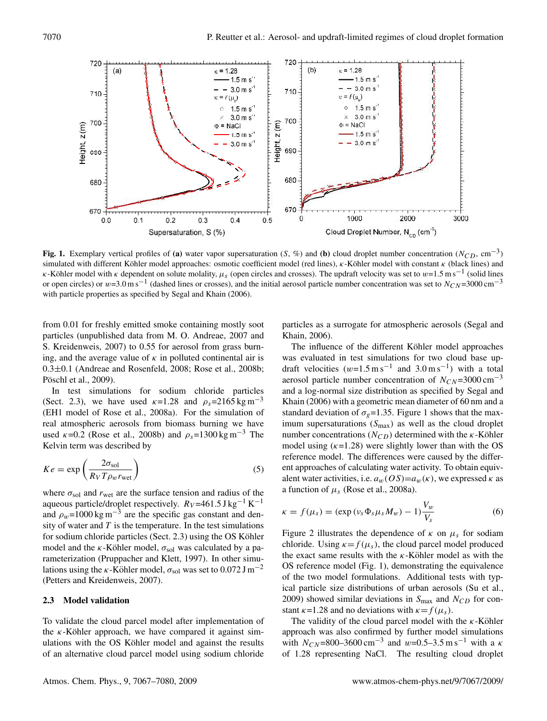

**Fig. 1.** Exemplary vertical profiles of (a) water vapor supersaturation (S, %) and (b) cloud droplet number concentration ( $N_{CD}$ , cm<sup>-3</sup>) simulated with different Köhler model approaches: osmotic coefficient model (red lines),  $\kappa$ -Köhler model with constant  $\kappa$  (black lines) and κ-Köhler model with  $\kappa$  dependent on solute molality,  $\mu_s$  (open circles and crosses). The updraft velocity was set to  $w=1.5$  m s<sup>-1</sup> (solid lines or open circles) or  $w=3.0 \text{ m s}^{-1}$  (dashed lines or crosses), and the initial aerosol particle number concentration was set to  $N_{CN}$ =3000 cm<sup>-3</sup> with particle properties as specified by Segal and Khain (2006).

from 0.01 for freshly emitted smoke containing mostly soot particles (unpublished data from M. O. Andreae, 2007 and S. Kreidenweis, 2007) to 0.55 for aerosol from grass burning, and the average value of  $\kappa$  in polluted continental air is 0.3±0.1 (Andreae and Rosenfeld, 2008; Rose et al., 2008b; Pöschl et al., 2009).

In test simulations for sodium chloride particles (Sect. 2.3), we have used  $\kappa=1.28$  and  $\rho_s=2165 \text{ kg m}^{-3}$ (EH1 model of Rose et al., 2008a). For the simulation of real atmospheric aerosols from biomass burning we have used  $\kappa$ =0.2 (Rose et al., 2008b) and  $\rho_s$ =1300 kg m<sup>-3</sup> The Kelvin term was described by

$$
Ke = \exp\left(\frac{2\sigma_{\text{sol}}}{R_V T \rho_w r_{\text{wet}}}\right) \tag{5}
$$

where  $\sigma_{\text{sol}}$  and  $r_{\text{wet}}$  are the surface tension and radius of the aqueous particle/droplet respectively.  $R_V$ =461.5 J kg<sup>-1</sup> K<sup>-1</sup> and  $\rho_w$ =1000 kg m<sup>-3</sup> are the specific gas constant and density of water and  $T$  is the temperature. In the test simulations for sodium chloride particles (Sect. 2.3) using the OS Köhler model and the  $\kappa$ -Köhler model,  $\sigma_{\text{sol}}$  was calculated by a parameterization (Pruppacher and Klett, 1997). In other simulations using the  $\kappa$ -Köhler model,  $\sigma_{\text{sol}}$  was set to 0.072 J m<sup>-2</sup> (Petters and Kreidenweis, 2007).

# **2.3 Model validation**

To validate the cloud parcel model after implementation of the  $\kappa$ -Köhler approach, we have compared it against simulations with the OS Köhler model and against the results of an alternative cloud parcel model using sodium chloride particles as a surrogate for atmospheric aerosols (Segal and Khain, 2006).

The influence of the different Köhler model approaches was evaluated in test simulations for two cloud base updraft velocities  $(w=1.5 \text{ m s}^{-1}$  and  $3.0 \text{ m s}^{-1})$  with a total aerosol particle number concentration of  $N_{CN}$ =3000 cm<sup>-3</sup> and a log-normal size distribution as specified by Segal and Khain (2006) with a geometric mean diameter of 60 nm and a standard deviation of  $\sigma_g$ =1.35. Figure 1 shows that the maximum supersaturations  $(S_{\text{max}})$  as well as the cloud droplet number concentrations  $(N_{CD})$  determined with the  $\kappa$ -Köhler model using  $(k=1.28)$  were slightly lower than with the OS reference model. The differences were caused by the different approaches of calculating water activity. To obtain equivalent water activities, i.e.  $a_w(OS)=a_w(\kappa)$ , we expressed  $\kappa$  as a function of  $\mu_s$  (Rose et al., 2008a).

$$
\kappa = f(\mu_s) = (\exp(v_s \Phi_s \mu_s M_w) - 1) \frac{V_w}{V_s}
$$
 (6)

Figure 2 illustrates the dependence of  $\kappa$  on  $\mu_s$  for sodiam chloride. Using  $\kappa = f(\mu_s)$ , the cloud parcel model produced the exact same results with the  $\kappa$ -Köhler model as with the OS reference model (Fig. 1), demonstrating the equivalence of the two model formulations. Additional tests with typical particle size distributions of urban aerosols (Su et al., 2009) showed similar deviations in  $S_{\text{max}}$  and  $N_{CD}$  for constant  $\kappa = 1.28$  and no deviations with  $\kappa = f(\mu_s)$ .

The validity of the cloud parcel model with the  $\kappa$ -Köhler approach was also confirmed by further model simulations with  $N_{CN}$ =800–3600 cm<sup>-3</sup> and w=0.5–3.5 m s<sup>-1</sup> with a  $\kappa$ of 1.28 representing NaCl. The resulting cloud droplet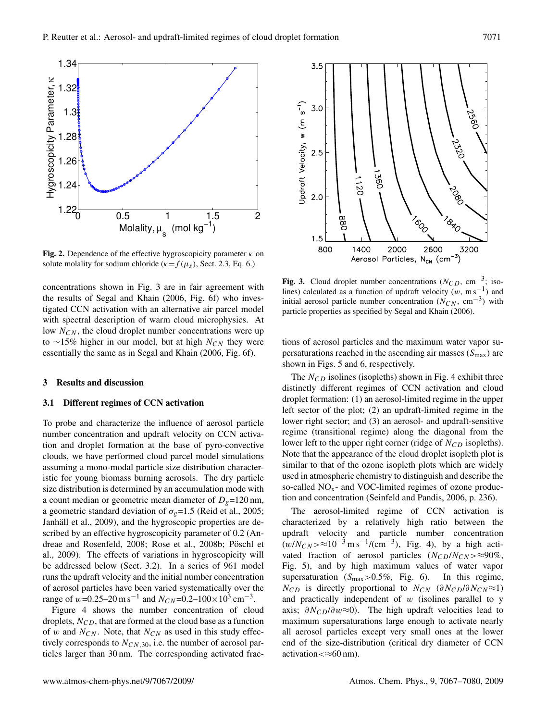

**Fig. 2.** Dependence of the effective hygroscopicity parameter  $\kappa$  on solute molality for sodium chloride ( $\kappa = f(\mu_s)$ , Sect. 2.3, Eq. 6.)

concentrations shown in Fig. 3 are in fair agreement with the results of Segal and Khain (2006, Fig. 6f) who investigated CCN activation with an alternative air parcel model with spectral description of warm cloud microphysics. At low  $N_{CN}$ , the cloud droplet number concentrations were up to ∼15% higher in our model, but at high  $N_{CN}$  they were essentially the same as in Segal and Khain (2006, Fig. 6f).

## **3 Results and discussion**

#### **3.1 Different regimes of CCN activation**

To probe and characterize the influence of aerosol particle number concentration and updraft velocity on CCN activation and droplet formation at the base of pyro-convective clouds, we have performed cloud parcel model simulations assuming a mono-modal particle size distribution characteristic for young biomass burning aerosols. The dry particle size distribution is determined by an accumulation mode with a count median or geometric mean diameter of  $D_g=120 \text{ nm}$ , a geometric standard deviation of  $\sigma_g$ =1.5 (Reid et al., 2005; Janhäll et al., 2009), and the hygroscopic properties are described by an effective hygroscopicity parameter of 0.2 (Andreae and Rosenfeld, 2008; Rose et al., 2008b; Pöschl et al., 2009). The effects of variations in hygroscopicity will be addressed below (Sect. 3.2). In a series of 961 model runs the updraft velocity and the initial number concentration of aerosol particles have been varied systematically over the range of  $w=0.25-20 \text{ m s}^{-1}$  and  $N_{CN}=0.2-100\times10^3 \text{ cm}^{-3}$ .

Figure 4 shows the number concentration of cloud droplets,  $N_{CD}$ , that are formed at the cloud base as a function of w and  $N_{CN}$ . Note, that  $N_{CN}$  as used in this study effectively corresponds to  $N_{CN,30}$ , i.e. the number of aerosol particles larger than 30 nm. The corresponding activated frac-



**Fig. 3.** Cloud droplet number concentrations  $(N_{CD}, \text{ cm}^{-3})$ ; isolines) calculated as a function of updraft velocity  $(w, m s^{-1})$  and initial aerosol particle number concentration  $(N_{CN}, \text{ cm}^{-3})$  with particle properties as specified by Segal and Khain (2006).

tions of aerosol particles and the maximum water vapor supersaturations reached in the ascending air masses  $(S_{\text{max}})$  are shown in Figs. 5 and 6, respectively.

The  $N_{CD}$  isolines (isopleths) shown in Fig. 4 exhibit three distinctly different regimes of CCN activation and cloud droplet formation: (1) an aerosol-limited regime in the upper left sector of the plot; (2) an updraft-limited regime in the lower right sector; and (3) an aerosol- and updraft-sensitive regime (transitional regime) along the diagonal from the lower left to the upper right corner (ridge of  $N_{CD}$  isopleths). Note that the appearance of the cloud droplet isopleth plot is similar to that of the ozone isopleth plots which are widely used in atmospheric chemistry to distinguish and describe the so-called  $NO<sub>x</sub>$ - and VOC-limited regimes of ozone production and concentration (Seinfeld and Pandis, 2006, p. 236).

The aerosol-limited regime of CCN activation is characterized by a relatively high ratio between the updraft velocity and particle number concentration  $(w/N_{CN} > \approx 10^{-3} \text{ m s}^{-1}/(\text{cm}^{-3})$ , Fig. 4), by a high activated fraction of aerosol particles  $(N_{CD}/N_{CN} > \approx 90\%$ , Fig. 5), and by high maximum values of water vapor supersaturation  $(S_{\text{max}} > 0.5\%, \text{ Fig. 6})$ . In this regime,  $N_{CD}$  is directly proportional to  $N_{CN}$  (∂ $N_{CD}/\partial N_{CN} \approx 1$ ) and practically independent of  $w$  (isolines parallel to  $y$ axis;  $\partial N_{CD}/\partial w \approx 0$ ). The high updraft velocities lead to maximum supersaturations large enough to activate nearly all aerosol particles except very small ones at the lower end of the size-distribution (critical dry diameter of CCN activation $\ll \approx 60$  nm).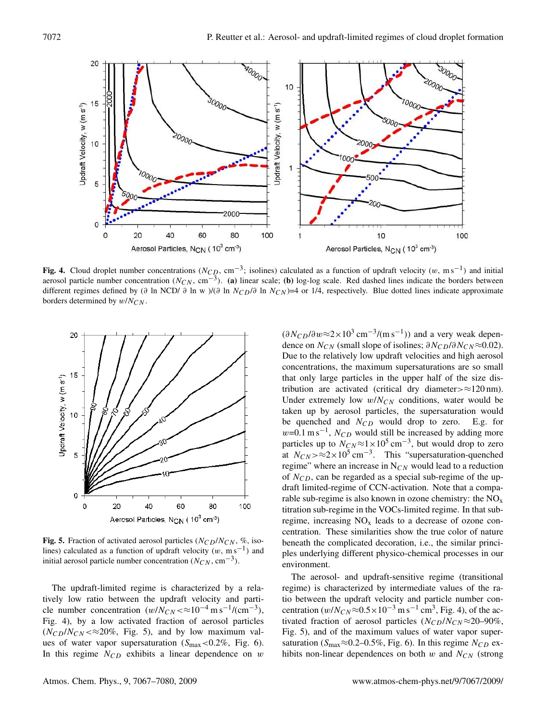

**Fig. 4.** Cloud droplet number concentrations ( $N_{CD}$ , cm<sup>-3</sup>; isolines) calculated as a function of updraft velocity (w, m s<sup>-1</sup>) and initial aerosol particle number concentration  $(N_{CN}, \text{cm}^{-3})$ . (a) linear scale; (b) log-log scale. Red dashed lines indicate the borders between different regimes defined by (∂ ln NCD/ ∂ ln w )/(∂ ln N<sub>CD</sub>/∂ ln N<sub>CN</sub>)=4 or 1/4, respectively. Blue dotted lines indicate approximate borders determined by  $w/N_{CN}$ .



**Fig. 5.** Fraction of activated aerosol particles  $(N_{CD}/N_{CN}, \%$ , isolines) calculated as a function of updraft velocity  $(w, ms^{-1})$  and initial aerosol particle number concentration  $(N_{CN}, \text{cm}^{-3})$ .

The updraft-limited regime is characterized by a relatively low ratio between the updraft velocity and particle number concentration  $(w/N_{CN} < \approx 10^{-4} \text{ m s}^{-1}/(\text{cm}^{-3}),$ Fig. 4), by a low activated fraction of aerosol particles  $(N_{CD}/N_{CN} \ll 20\%$ , Fig. 5), and by low maximum values of water vapor supersaturation  $(S_{\text{max}} < 0.2\%$ , Fig. 6). In this regime  $N_{CD}$  exhibits a linear dependence on w

 $(\partial N_{CD}/\partial w \approx 2 \times 10^3 \text{ cm}^{-3} / (\text{m s}^{-1}))$  and a very weak dependence on  $N_{CN}$  (small slope of isolines;  $\partial N_{CD}/\partial N_{CN} \approx 0.02$ ). Due to the relatively low updraft velocities and high aerosol concentrations, the maximum supersaturations are so small that only large particles in the upper half of the size distribution are activated (critical dry diameter $>\approx$ 120 nm). Under extremely low  $w/N_{CN}$  conditions, water would be taken up by aerosol particles, the supersaturation would be quenched and  $N_{CD}$  would drop to zero. E.g. for  $w=0.1 \text{ m s}^{-1}$ ,  $N_{CD}$  would still be increased by adding more particles up to  $N_{CN} \approx 1 \times 10^5 \text{ cm}^{-3}$ , but would drop to zero at  $N_{CN} > \approx 2 \times 10^5 \text{ cm}^{-3}$ . This "supersaturation-quenched regime" where an increase in  $N_{CN}$  would lead to a reduction of  $N_{CD}$ , can be regarded as a special sub-regime of the updraft limited-regime of CCN-activation. Note that a comparable sub-regime is also known in ozone chemistry: the  $NO<sub>x</sub>$ titration sub-regime in the VOCs-limited regime. In that subregime, increasing  $NO<sub>x</sub>$  leads to a decrease of ozone concentration. These similarities show the true color of nature beneath the complicated decoration, i.e., the similar principles underlying different physico-chemical processes in our environment.

The aerosol- and updraft-sensitive regime (transitional regime) is characterized by intermediate values of the ratio between the updraft velocity and particle number concentration ( $w/N_{CN} \approx 0.5 \times 10^{-3}$  m s<sup>-1</sup> cm<sup>3</sup>, Fig. 4), of the activated fraction of aerosol particles ( $N_{CD}/N_{CN} \approx 20-90\%$ , Fig. 5), and of the maximum values of water vapor supersaturation ( $S_{\text{max}} \approx 0.2 - 0.5\%$ , Fig. 6). In this regime  $N_{CD}$  exhibits non-linear dependences on both  $w$  and  $N_{CN}$  (strong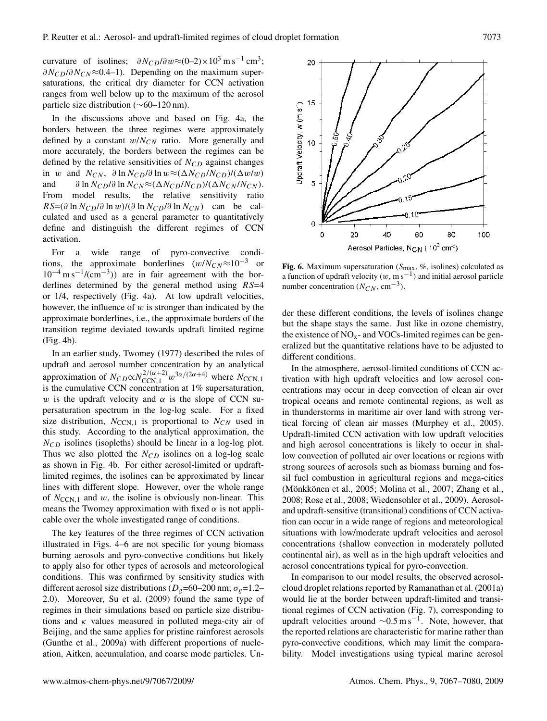curvature of isolines;  $\partial N_{CD}/\partial w \approx (0-2) \times 10^3 \text{ m s}^{-1} \text{ cm}^3$ ;  $\partial N_{CD}/\partial N_{CN} \approx 0.4$ –1). Depending on the maximum supersaturations, the critical dry diameter for CCN activation ranges from well below up to the maximum of the aerosol particle size distribution (∼60–120 nm).

In the discussions above and based on Fig. 4a, the borders between the three regimes were approximately defined by a constant  $w/N_{CN}$  ratio. More generally and more accurately, the borders between the regimes can be defined by the relative sensitivities of  $N_{CD}$  against changes in w and  $N_{CN}$ , ∂ ln  $N_{CD}/\partial \ln w \approx (\Delta N_{CD}/N_{CD})/(\Delta w/w)$ and ∂ ln  $N_{CD}/\partial$  ln  $N_{CN} \approx (\Delta N_{CD}/N_{CD})/(\Delta N_{CN}/N_{CN})$ . From model results, the relative sensitivity ratio  $RS=(\partial \ln N_{CD}/\partial \ln w)/(\partial \ln N_{CD}/\partial \ln N_{CN})$  can be calculated and used as a general parameter to quantitatively define and distinguish the different regimes of CCN activation.

For a wide range of pyro-convective conditions, the approximate borderlines  $(w/N_{CN} \approx 10^{-3}$  or  $10^{-4}$  m s<sup>-1</sup>/(cm<sup>-3</sup>)) are in fair agreement with the borderlines determined by the general method using  $RS=4$ or 1/4, respectively (Fig. 4a). At low updraft velocities, however, the influence of  $w$  is stronger than indicated by the approximate borderlines, i.e., the approximate borders of the transition regime deviated towards updraft limited regime (Fig. 4b).

In an earlier study, Twomey (1977) described the roles of updraft and aerosol number concentration by an analytical approximation of  $N_{CD} \propto N_{\text{CCN},1}^{2/(\alpha+2)} w^{3\alpha/(2\alpha+4)}$  where  $N_{\text{CCN},1}$ is the cumulative CCN concentration at 1% supersaturation, w is the updraft velocity and  $\alpha$  is the slope of CCN supersaturation spectrum in the log-log scale. For a fixed size distribution,  $N_{\text{CCN},1}$  is proportional to  $N_{CN}$  used in this study. According to the analytical approximation, the  $N_{CD}$  isolines (isopleths) should be linear in a log-log plot. Thus we also plotted the  $N_{CD}$  isolines on a log-log scale as shown in Fig. 4b. For either aerosol-limited or updraftlimited regimes, the isolines can be approximated by linear lines with different slope. However, over the whole range of  $N_{\text{CCN},1}$  and w, the isoline is obviously non-linear. This means the Twomey approximation with fixed  $\alpha$  is not applicable over the whole investigated range of conditions.

The key features of the three regimes of CCN activation illustrated in Figs. 4–6 are not specific for young biomass burning aerosols and pyro-convective conditions but likely to apply also for other types of aerosols and meteorological conditions. This was confirmed by sensitivity studies with different aerosol size distributions ( $D_g$ =60–200 nm;  $\sigma_g$ =1.2– 2.0). Moreover, Su et al. (2009) found the same type of regimes in their simulations based on particle size distributions and  $\kappa$  values measured in polluted mega-city air of Beijing, and the same applies for pristine rainforest aerosols (Gunthe et al., 2009a) with different proportions of nucleation, Aitken, accumulation, and coarse mode particles. Un-



**Fig. 6.** Maximum supersaturation (S<sub>max</sub>, %, isolines) calculated as a function of updraft velocity  $(w, m s^{-1})$  and initial aerosol particle number concentration ( $N_{CN}$ , cm<sup>-3</sup>).

der these different conditions, the levels of isolines change but the shape stays the same. Just like in ozone chemistry, the existence of  $NO<sub>x</sub>$ - and VOCs-limited regimes can be generalized but the quantitative relations have to be adjusted to different conditions.

In the atmosphere, aerosol-limited conditions of CCN activation with high updraft velocities and low aerosol concentrations may occur in deep convection of clean air over tropical oceans and remote continental regions, as well as in thunderstorms in maritime air over land with strong vertical forcing of clean air masses (Murphey et al., 2005). Updraft-limited CCN activation with low updraft velocities and high aerosol concentrations is likely to occur in shallow convection of polluted air over locations or regions with strong sources of aerosols such as biomass burning and fossil fuel combustion in agricultural regions and mega-cities (Mönkkönen et al., 2005; Molina et al., 2007; Zhang et al., 2008; Rose et al., 2008; Wiedensohler et al., 2009). Aerosoland updraft-sensitive (transitional) conditions of CCN activation can occur in a wide range of regions and meteorological situations with low/moderate updraft velocities and aerosol concentrations (shallow convection in moderately polluted continental air), as well as in the high updraft velocities and aerosol concentrations typical for pyro-convection.

In comparison to our model results, the observed aerosolcloud droplet relations reported by Ramanathan et al. (2001a) would lie at the border between updraft-limited and transitional regimes of CCN activation (Fig. 7), corresponding to updraft velocities around  $\sim 0.5 \text{ m s}^{-1}$ . Note, however, that the reported relations are characteristic for marine rather than pyro-convective conditions, which may limit the comparability. Model investigations using typical marine aerosol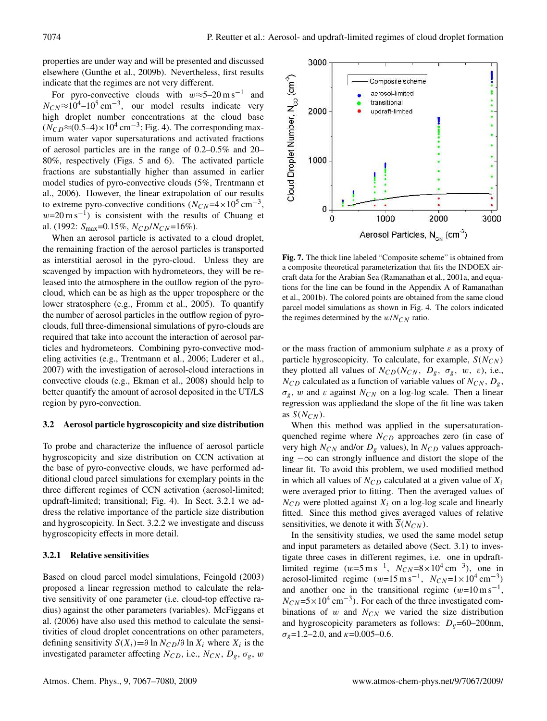properties are under way and will be presented and discussed elsewhere (Gunthe et al., 2009b). Nevertheless, first results indicate that the regimes are not very different.

For pyro-convective clouds with  $w \approx 5-20 \text{ m s}^{-1}$  and  $N_{CN} \approx 10^4 - 10^5 \text{ cm}^{-3}$ , our model results indicate very high droplet number concentrations at the cloud base  $(N_{CD} \approx (0.5-4) \times 10^4 \text{ cm}^{-3}$ ; Fig. 4). The corresponding maximum water vapor supersaturations and activated fractions of aerosol particles are in the range of 0.2–0.5% and 20– 80%, respectively (Figs. 5 and 6). The activated particle fractions are substantially higher than assumed in earlier model studies of pyro-convective clouds (5%, Trentmann et al., 2006). However, the linear extrapolation of our results to extreme pyro-convective conditions  $(N_{CN} = 4 \times 10^5 \text{ cm}^{-3})$ ,  $w=20 \text{ m s}^{-1}$ ) is consistent with the results of Chuang et al. (1992:  $S_{\text{max}} = 0.15\%, N_{CD}/N_{CN} = 16\%$ ).

When an aerosol particle is activated to a cloud droplet, the remaining fraction of the aerosol particles is transported as interstitial aerosol in the pyro-cloud. Unless they are scavenged by impaction with hydrometeors, they will be released into the atmosphere in the outflow region of the pyrocloud, which can be as high as the upper troposphere or the lower stratosphere (e.g., Fromm et al., 2005). To quantify the number of aerosol particles in the outflow region of pyroclouds, full three-dimensional simulations of pyro-clouds are required that take into account the interaction of aerosol particles and hydrometeors. Combining pyro-convective modeling activities (e.g., Trentmann et al., 2006; Luderer et al., 2007) with the investigation of aerosol-cloud interactions in convective clouds (e.g., Ekman et al., 2008) should help to better quantify the amount of aerosol deposited in the UT/LS region by pyro-convection.

## **3.2 Aerosol particle hygroscopicity and size distribution**

To probe and characterize the influence of aerosol particle hygroscopicity and size distribution on CCN activation at the base of pyro-convective clouds, we have performed additional cloud parcel simulations for exemplary points in the three different regimes of CCN activation (aerosol-limited; updraft-limited; transitional; Fig. 4). In Sect. 3.2.1 we address the relative importance of the particle size distribution and hygroscopicity. In Sect. 3.2.2 we investigate and discuss hygroscopicity effects in more detail.

# **3.2.1 Relative sensitivities**

Based on cloud parcel model simulations, Feingold (2003) proposed a linear regression method to calculate the relative sensitivity of one parameter (i.e. cloud-top effective radius) against the other parameters (variables). McFiggans et al. (2006) have also used this method to calculate the sensitivities of cloud droplet concentrations on other parameters, defining sensitivity  $S(X_i)=\partial \ln N_{CD}/\partial \ln X_i$  where  $X_i$  is the investigated parameter affecting  $N_{CD}$ , i.e.,  $N_{CN}$ ,  $D_g$ ,  $\sigma_g$ , w



**Fig. 7.** The thick line labeled "Composite scheme" is obtained from a composite theoretical parameterization that fits the INDOEX aircraft data for the Arabian Sea (Ramanathan et al., 2001a, and equations for the line can be found in the Appendix A of Ramanathan et al., 2001b). The colored points are obtained from the same cloud parcel model simulations as shown in Fig. 4. The colors indicated the regimes determined by the  $w/N_{CN}$  ratio.

or the mass fraction of ammonium sulphate  $\varepsilon$  as a proxy of particle hygroscopicity. To calculate, for example,  $S(N_{CN})$ they plotted all values of  $N_{CD}(N_{CN}, D_g, \sigma_g, w, \varepsilon)$ , i.e.,  $N_{CD}$  calculated as a function of variable values of  $N_{CN}$ ,  $D_g$ ,  $\sigma_{\varrho}$ , w and  $\varepsilon$  against  $N_{CN}$  on a log-log scale. Then a linear regression was appliedand the slope of the fit line was taken as  $S(N_{CN})$ .

When this method was applied in the supersaturationquenched regime where  $N_{CD}$  approaches zero (in case of very high  $N_{CN}$  and/or  $D_g$  values), ln  $N_{CD}$  values approaching  $-\infty$  can strongly influence and distort the slope of the linear fit. To avoid this problem, we used modified method in which all values of  $N_{CD}$  calculated at a given value of  $X_i$ were averaged prior to fitting. Then the averaged values of  $N_{CD}$  were plotted against  $X_i$  on a log-log scale and linearly fitted. Since this method gives averaged values of relative sensitivities, we denote it with  $\overline{S}(N_{CN})$ .

In the sensitivity studies, we used the same model setup and input parameters as detailed above (Sect. 3.1) to investigate three cases in different regimes, i.e. one in updraftlimited regime  $(w=5 \text{ m s}^{-1}, N_{CN}=8\times10^{4} \text{ cm}^{-3})$ , one in aerosol-limited regime  $(w=15 \text{ m s}^{-1}, N_{CN}=1\times10^{4} \text{ cm}^{-3})$ and another one in the transitional regime  $(w=10 \text{ m s}^{-1})$ ,  $N_{CN}$ =5 × 10<sup>4</sup> cm<sup>-3</sup>). For each of the three investigated combinations of w and  $N_{CN}$  we varied the size distribution and hygroscopicity parameters as follows:  $D_g$ =60–200nm,  $\sigma_g$ =1.2–2.0, and  $\kappa$ =0.005–0.6.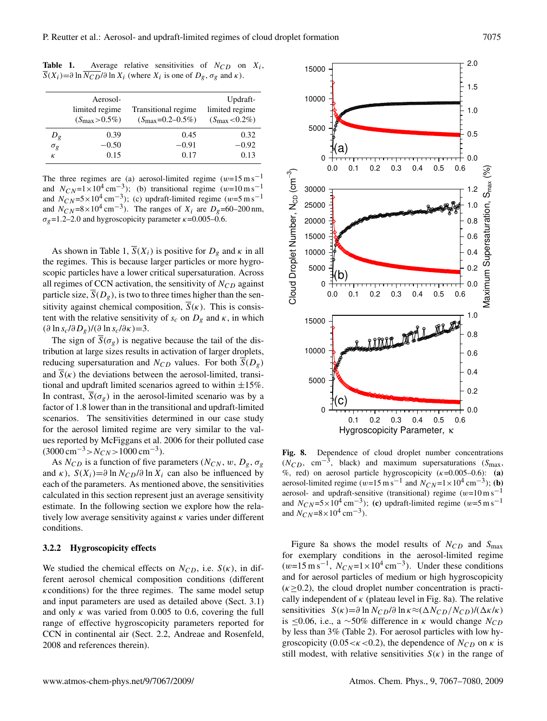**Table 1.** Average relative sensitivities of  $N_{CD}$  on  $X_i$ ,  $S(X_i)=\partial \ln N_{CD}/\partial \ln X_i$  (where  $X_i$  is one of  $D_g$ ,  $\sigma_g$  and  $\kappa$ ).

|            | Aerosol-                   |                              | Updraft-                   |
|------------|----------------------------|------------------------------|----------------------------|
|            | limited regime             | Transitional regime          | limited regime             |
|            | $(S_{\text{max}} > 0.5\%)$ | $(S_{\text{max}}=0.2-0.5\%)$ | $(S_{\text{max}} < 0.2\%)$ |
| $D_g$      | 0.39                       | 0.45                         | 0.32                       |
| $\sigma_g$ | $-0.50$                    | $-0.91$                      | $-0.92$                    |
| К          | 0.15                       | 0.17                         | 0.13                       |
|            |                            |                              |                            |

The three regimes are (a) aerosol-limited regime  $(w=15 \text{ m s}^{-1})$ and  $N_{CN} = 1 \times 10^4 \text{ cm}^{-3}$ ; (b) transitional regime  $(w=10 \text{ m s}^{-1})$ and  $N_{CN} = 5 \times 10^4 \text{ cm}^{-3}$ ; (c) updraft-limited regime (w=5 m s<sup>-1</sup>) and  $N_{CN} = 8 \times 10^4 \text{ cm}^{-3}$ ). The ranges of  $X_i$  are  $D_g = 60 - 200 \text{ nm}$ ,  $\sigma_g$ =1.2–2.0 and hygroscopicity parameter  $\kappa$ =0.005–0.6.

As shown in Table 1,  $S(X_i)$  is positive for  $D_g$  and  $\kappa$  in all the regimes. This is because larger particles or more hygroscopic particles have a lower critical supersaturation. Across all regimes of CCN activation, the sensitivity of  $N_{CD}$  against particle size,  $\overline{S}(D_{\varrho})$ , is two to three times higher than the sensitivity against chemical composition,  $\overline{S}(\kappa)$ . This is consistent with the relative sensitivity of  $s_c$  on  $D_g$  and  $\kappa$ , in which  $(\partial \ln s_c / \partial D_g) / (\partial \ln s_c / \partial \kappa) = 3.$ 

The sign of  $\overline{S(\sigma_g)}$  is negative because the tail of the distribution at large sizes results in activation of larger droplets, reducing supersaturation and  $N_{CD}$  values. For both  $S(D_g)$ and  $\overline{S}(\kappa)$  the deviations between the aerosol-limited, transitional and updraft limited scenarios agreed to within  $\pm 15\%$ . In contrast,  $\overline{S}(\sigma_g)$  in the aerosol-limited scenario was by a factor of 1.8 lower than in the transitional and updraft-limited scenarios. The sensitivities determined in our case study for the aerosol limited regime are very similar to the values reported by McFiggans et al. 2006 for their polluted case  $(3000 \text{ cm}^{-3} > N_{CN} > 1000 \text{ cm}^{-3}).$ 

As  $N_{CD}$  is a function of five parameters  $(N_{CN}, w, D_g, \sigma_g)$ and  $\kappa$ ),  $S(X_i)=\partial \ln N_{CD}/\partial \ln X_i$  can also be influenced by each of the parameters. As mentioned above, the sensitivities calculated in this section represent just an average sensitivity estimate. In the following section we explore how the relatively low average sensitivity against  $\kappa$  varies under different conditions.

# **3.2.2 Hygroscopicity effects**

We studied the chemical effects on  $N_{CD}$ , i.e.  $S(\kappa)$ , in different aerosol chemical composition conditions (different  $\kappa$  conditions) for the three regimes. The same model setup and input parameters are used as detailed above (Sect. 3.1) and only  $\kappa$  was varied from 0.005 to 0.6, covering the full range of effective hygroscopicity parameters reported for CCN in continental air (Sect. 2.2, Andreae and Rosenfeld, 2008 and references therein).



**Fig. 8.** Dependence of cloud droplet number concentrations  $(N_{CD}, \text{ cm}^{-3}, \text{ black})$  and maximum supersaturations  $(S_{\text{max}},$ %, red) on aerosol particle hygroscopicity (κ=0.005–0.6): **(a)** aerosol-limited regime  $(w=15 \text{ m s}^{-1}$  and  $N_{CN} = 1 \times 10^4 \text{ cm}^{-3}$ ; **(b)** aerosol- and updraft-sensitive (transitional) regime  $(w=10 \text{ m s}^{-1})$ and  $N_{CN}$ =5×10<sup>4</sup> cm<sup>-3</sup>); (c) updraft-limited regime (w=5 m s<sup>-1</sup>) and  $N_{CN} = 8 \times 10^4 \text{ cm}^{-3}$ ).

Figure 8a shows the model results of  $N_{CD}$  and  $S_{\text{max}}$ for exemplary conditions in the aerosol-limited regime  $(w=15 \text{ m s}^{-1}, N_{CN}=1\times10^{4} \text{ cm}^{-3})$ . Under these conditions and for aerosol particles of medium or high hygroscopicity  $(k \ge 0.2)$ , the cloud droplet number concentration is practically independent of  $\kappa$  (plateau level in Fig. 8a). The relative sensitivities  $S(\kappa) = \partial \ln N_{CD}/\partial \ln \kappa \approx (\Delta N_{CD}/N_{CD})/(\Delta \kappa / \kappa)$ is ≤0.06, i.e., a ∼50% difference in  $\kappa$  would change  $N_{CD}$ by less than 3% (Table 2). For aerosol particles with low hygroscopicity (0.05  $\lt k \lt 0.2$ ), the dependence of  $N_{CD}$  on  $\kappa$  is still modest, with relative sensitivities  $S(\kappa)$  in the range of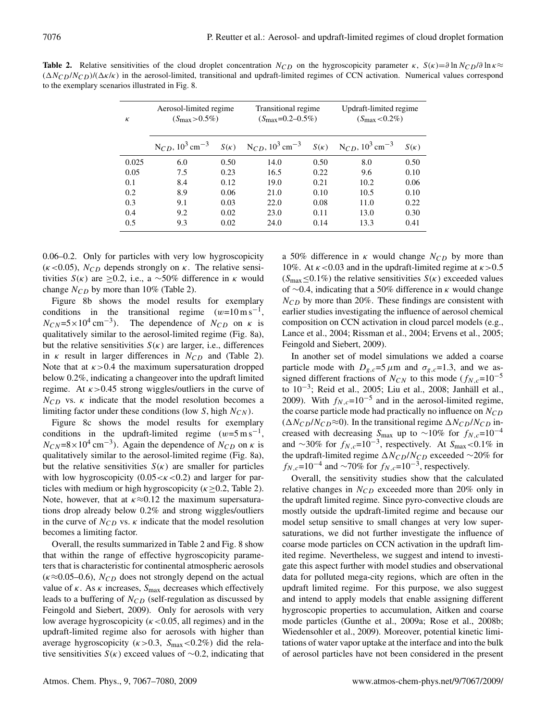|  |                                                   |  |  | <b>Table 2.</b> Relative sensitivities of the cloud droplet concentration $N_{CD}$ on the hygroscopicity parameter $\kappa$ , $S(\kappa) = \partial \ln N_{CD}/\partial \ln \kappa \approx$ |  |  |
|--|---------------------------------------------------|--|--|---------------------------------------------------------------------------------------------------------------------------------------------------------------------------------------------|--|--|
|  |                                                   |  |  | $(\Delta N_{CD}/N_{CD})/(\Delta \kappa/\kappa)$ in the aerosol-limited, transitional and updraft-limited regimes of CCN activation. Numerical values correspond                             |  |  |
|  | to the exemplary scenarios illustrated in Fig. 8. |  |  |                                                                                                                                                                                             |  |  |

| К     | Aerosol-limited regime<br>$(S_{\text{max}} > 0.5\%)$ |             | Transitional regime<br>$(S_{\text{max}}=0.2-0.5\%)$ |             | Updraft-limited regime<br>$(S_{\text{max}} < 0.2\%)$ |             |
|-------|------------------------------------------------------|-------------|-----------------------------------------------------|-------------|------------------------------------------------------|-------------|
|       | $N_{CD}$ , 10 <sup>3</sup> cm <sup>-3</sup>          | $S(\kappa)$ | $N_{CD}$ , 10 <sup>3</sup> cm <sup>-3</sup>         | $S(\kappa)$ | $N_{CD}$ , 10 <sup>3</sup> cm <sup>-3</sup>          | $S(\kappa)$ |
| 0.025 | 6.0                                                  | 0.50        | 14.0                                                | 0.50        | 8.0                                                  | 0.50        |
| 0.05  | 7.5                                                  | 0.23        | 16.5                                                | 0.22        | 9.6                                                  | 0.10        |
| 0.1   | 8.4                                                  | 0.12        | 19.0                                                | 0.21        | 10.2                                                 | 0.06        |
| 0.2   | 8.9                                                  | 0.06        | 21.0                                                | 0.10        | 10.5                                                 | 0.10        |
| 0.3   | 9.1                                                  | 0.03        | 22.0                                                | 0.08        | 11.0                                                 | 0.22        |
| 0.4   | 9.2                                                  | 0.02        | 23.0                                                | 0.11        | 13.0                                                 | 0.30        |
| 0.5   | 9.3                                                  | 0.02        | 24.0                                                | 0.14        | 13.3                                                 | 0.41        |

0.06–0.2. Only for particles with very low hygroscopicity ( $\kappa$ <0.05),  $N_{CD}$  depends strongly on  $\kappa$ . The relative sensitivities  $S(\kappa)$  are ≥0.2, i.e., a ~50% difference in  $\kappa$  would change  $N_{CD}$  by more than 10% (Table 2).

Figure 8b shows the model results for exemplary conditions in the transitional regime  $(w=10 \text{ m s}^{-1})$ ,  $N_{CN}$ =5×10<sup>4</sup> cm<sup>-3</sup>). The dependence of  $N_{CD}$  on  $\kappa$  is qualitatively similar to the aerosol-limited regime (Fig. 8a), but the relative sensitivities  $S(\kappa)$  are larger, i.e., differences in  $\kappa$  result in larger differences in  $N_{CD}$  and (Table 2). Note that at  $\kappa > 0.4$  the maximum supersaturation dropped below 0.2%, indicating a changeover into the updraft limited regime. At  $\kappa > 0.45$  strong wiggles/outliers in the curve of  $N_{CD}$  vs.  $\kappa$  indicate that the model resolution becomes a limiting factor under these conditions (low S, high  $N_{CN}$ ).

Figure 8c shows the model results for exemplary conditions in the updraft-limited regime  $(w=5 \text{ m s}^{-1})$ ,  $N_{CN} = 8 \times 10^4 \text{ cm}^{-3}$ . Again the dependence of  $N_{CD}$  on  $\kappa$  is qualitatively similar to the aerosol-limited regime (Fig. 8a), but the relative sensitivities  $S(\kappa)$  are smaller for particles with low hygroscopicity  $(0.05 < \kappa < 0.2)$  and larger for particles with medium or high hygroscopicity ( $\kappa \ge 0.2$ , Table 2). Note, however, that at  $\kappa \approx 0.12$  the maximum supersaturations drop already below 0.2% and strong wiggles/outliers in the curve of  $N_{CD}$  vs.  $\kappa$  indicate that the model resolution becomes a limiting factor.

Overall, the results summarized in Table 2 and Fig. 8 show that within the range of effective hygroscopicity parameters that is characteristic for continental atmospheric aerosols ( $\kappa \approx 0.05$ –0.6),  $N_{CD}$  does not strongly depend on the actual value of  $\kappa$ . As  $\kappa$  increases,  $S_{\text{max}}$  decreases which effectively leads to a buffering of  $N_{CD}$  (self-regulation as discussed by Feingold and Siebert, 2009). Only for aerosols with very low average hygroscopicity ( $\kappa$  <0.05, all regimes) and in the updraft-limited regime also for aerosols with higher than average hygroscopicity ( $\kappa > 0.3$ ,  $S_{\text{max}} < 0.2\%$ ) did the relative sensitivities  $S(\kappa)$  exceed values of ∼0.2, indicating that a 50% difference in  $\kappa$  would change  $N_{CD}$  by more than 10%. At  $\kappa$  <0.03 and in the updraft-limited regime at  $\kappa$  >0.5  $(S_{\text{max}} \le 0.1\%)$  the relative sensitivities  $S(\kappa)$  exceeded values of ∼0.4, indicating that a 50% difference in  $\kappa$  would change  $N_{CD}$  by more than 20%. These findings are consistent with earlier studies investigating the influence of aerosol chemical composition on CCN activation in cloud parcel models (e.g., Lance et al., 2004; Rissman et al., 2004; Ervens et al., 2005; Feingold and Siebert, 2009).

In another set of model simulations we added a coarse particle mode with  $D_{g,c}=5 \mu m$  and  $\sigma_{g,c}=1.3$ , and we assigned different fractions of  $N_{CN}$  to this mode ( $f_{N,c}=10^{-5}$ to 10<sup>-3</sup>; Reid et al., 2005; Liu et al., 2008; Janhäll et al., 2009). With  $f_{N,c}$ =10<sup>-5</sup> and in the aerosol-limited regime, the coarse particle mode had practically no influence on  $N_{CD}$  $(\Delta N_{CD}/N_{CD} \approx 0)$ . In the transitional regime  $\Delta N_{CD}/N_{CD}$  increased with decreasing S<sub>max</sub> up to ∼10% for  $f_{N,c}=10^{-4}$ and ~30% for  $f_{N,c}$ =10<sup>-3</sup>, respectively. At  $S_{\text{max}}$  <0.1% in the updraft-limited regime  $\Delta N_{CD}/N_{CD}$  exceeded ∼20% for  $f_{N,c}$ =10<sup>-4</sup> and ~70% for  $f_{N,c}$ =10<sup>-3</sup>, respectively.

Overall, the sensitivity studies show that the calculated relative changes in  $N_{CD}$  exceeded more than 20% only in the updraft limited regime. Since pyro-convective clouds are mostly outside the updraft-limited regime and because our model setup sensitive to small changes at very low supersaturations, we did not further investigate the influence of coarse mode particles on CCN activation in the updraft limited regime. Nevertheless, we suggest and intend to investigate this aspect further with model studies and observational data for polluted mega-city regions, which are often in the updraft limited regime. For this purpose, we also suggest and intend to apply models that enable assigning different hygroscopic properties to accumulation, Aitken and coarse mode particles (Gunthe et al., 2009a; Rose et al., 2008b; Wiedensohler et al., 2009). Moreover, potential kinetic limitations of water vapor uptake at the interface and into the bulk of aerosol particles have not been considered in the present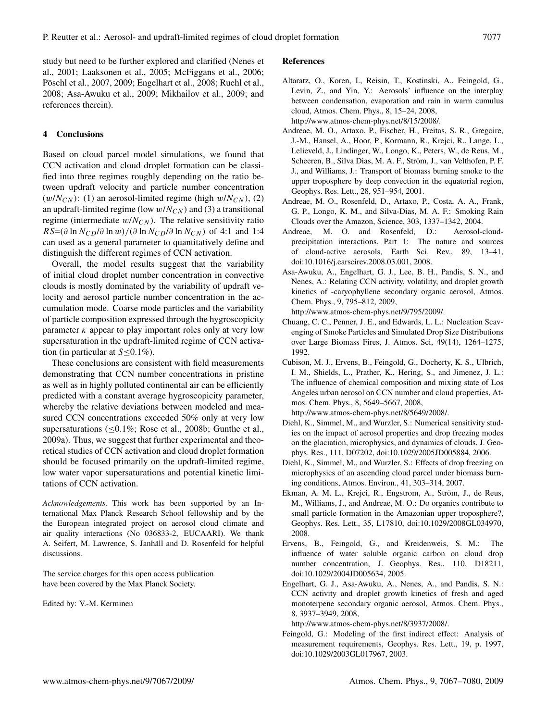study but need to be further explored and clarified (Nenes et al., 2001; Laaksonen et al., 2005; McFiggans et al., 2006; Pöschl et al., 2007, 2009; Engelhart et al., 2008; Ruehl et al., 2008; Asa-Awuku et al., 2009; Mikhailov et al., 2009; and references therein).

# **4 Conclusions**

Based on cloud parcel model simulations, we found that CCN activation and cloud droplet formation can be classified into three regimes roughly depending on the ratio between updraft velocity and particle number concentration  $(w/N_{CN})$ : (1) an aerosol-limited regime (high  $w/N_{CN}$ ), (2) an updraft-limited regime (low  $w/N_{CN}$ ) and (3) a transitional regime (intermediate  $w/N_{CN}$ ). The relative sensitivity ratio  $RS=(\partial \ln N_{CD}/\partial \ln w)/(\partial \ln N_{CD}/\partial \ln N_{CN})$  of 4:1 and 1:4 can used as a general parameter to quantitatively define and distinguish the different regimes of CCN activation.

Overall, the model results suggest that the variability of initial cloud droplet number concentration in convective clouds is mostly dominated by the variability of updraft velocity and aerosol particle number concentration in the accumulation mode. Coarse mode particles and the variability of particle composition expressed through the hygroscopicity parameter  $\kappa$  appear to play important roles only at very low supersaturation in the updraft-limited regime of CCN activation (in particular at  $S \leq 0.1\%$ ).

These conclusions are consistent with field measurements demonstrating that CCN number concentrations in pristine as well as in highly polluted continental air can be efficiently predicted with a constant average hygroscopicity parameter, whereby the relative deviations between modeled and measured CCN concentrations exceeded 50% only at very low supersaturations ( $\leq 0.1\%$ ; Rose et al., 2008b; Gunthe et al., 2009a). Thus, we suggest that further experimental and theoretical studies of CCN activation and cloud droplet formation should be focused primarily on the updraft-limited regime, low water vapor supersaturations and potential kinetic limitations of CCN activation.

*Acknowledgements.* This work has been supported by an International Max Planck Research School fellowship and by the the European integrated project on aerosol cloud climate and air quality interactions (No 036833-2, EUCAARI). We thank A. Seifert, M. Lawrence, S. Janhäll and D. Rosenfeld for helpful discussions.

The service charges for this open access publication have been covered by the Max Planck Society.

Edited by: V.-M. Kerminen

### **References**

Altaratz, O., Koren, I., Reisin, T., Kostinski, A., Feingold, G., Levin, Z., and Yin, Y.: Aerosols' influence on the interplay between condensation, evaporation and rain in warm cumulus cloud, Atmos. Chem. Phys., 8, 15–24, 2008,

http://www.atmos-chem-phys.net/8/15/2008/.

- Andreae, M. O., Artaxo, P., Fischer, H., Freitas, S. R., Gregoire, J.-M., Hansel, A., Hoor, P., Kormann, R., Krejci, R., Lange, L., Lelieveld, J., Lindinger, W., Longo, K., Peters, W., de Reus, M., Scheeren, B., Silva Dias, M. A. F., Ström, J., van Velthofen, P. F. J., and Williams, J.: Transport of biomass burning smoke to the upper troposphere by deep convection in the equatorial region, Geophys. Res. Lett., 28, 951–954, 2001.
- Andreae, M. O., Rosenfeld, D., Artaxo, P., Costa, A. A., Frank, G. P., Longo, K. M., and Silva-Dias, M. A. F.: Smoking Rain Clouds over the Amazon, Science, 303, 1337–1342, 2004.
- Andreae, M. O. and Rosenfeld, D.: Aerosol-cloudprecipitation interactions. Part 1: The nature and sources of cloud-active aerosols, Earth Sci. Rev., 89, 13–41, doi:10.1016/j.earscirev.2008.03.001, 2008.
- Asa-Awuku, A., Engelhart, G. J., Lee, B. H., Pandis, S. N., and Nenes, A.: Relating CCN activity, volatility, and droplet growth kinetics of -caryophyllene secondary organic aerosol, Atmos. Chem. Phys., 9, 795–812, 2009,

http://www.atmos-chem-phys.net/9/795/2009/.

- Chuang, C. C., Penner, J. E., and Edwards, L. L.: Nucleation Scavenging of Smoke Particles and Simulated Drop Size Distributions over Large Biomass Fires, J. Atmos. Sci, 49(14), 1264–1275, 1992.
- Cubison, M. J., Ervens, B., Feingold, G., Docherty, K. S., Ulbrich, I. M., Shields, L., Prather, K., Hering, S., and Jimenez, J. L.: The influence of chemical composition and mixing state of Los Angeles urban aerosol on CCN number and cloud properties, Atmos. Chem. Phys., 8, 5649–5667, 2008,
- http://www.atmos-chem-phys.net/8/5649/2008/. Diehl, K., Simmel, M., and Wurzler, S.: Numerical sensitivity studies on the impact of aerosol properties and drop freezing modes on the glaciation, microphysics, and dynamics of clouds, J. Geo-
- phys. Res., 111, D07202, doi:10.1029/2005JD005884, 2006. Diehl, K., Simmel, M., and Wurzler, S.: Effects of drop freezing on microphysics of an ascending cloud parcel under biomass burning conditions, Atmos. Environ., 41, 303–314, 2007.
- Ekman, A. M. L., Krejci, R., Engstrom, A., Ström, J., de Reus, M., Williams, J., and Andreae, M. O.: Do organics contribute to small particle formation in the Amazonian upper troposphere?, Geophys. Res. Lett., 35, L17810, doi:10.1029/2008GL034970, 2008.
- Ervens, B., Feingold, G., and Kreidenweis, S. M.: The influence of water soluble organic carbon on cloud drop number concentration, J. Geophys. Res., 110, D18211, doi:10.1029/2004JD005634, 2005.
- Engelhart, G. J., Asa-Awuku, A., Nenes, A., and Pandis, S. N.: CCN activity and droplet growth kinetics of fresh and aged monoterpene secondary organic aerosol, Atmos. Chem. Phys., 8, 3937–3949, 2008,

http://www.atmos-chem-phys.net/8/3937/2008/.

Feingold, G.: Modeling of the first indirect effect: Analysis of measurement requirements, Geophys. Res. Lett., 19, p. 1997, doi:10.1029/2003GL017967, 2003.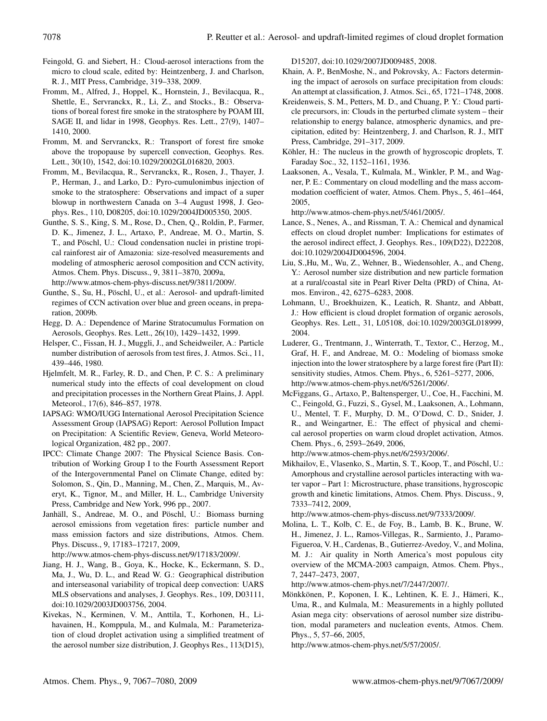- Feingold, G. and Siebert, H.: Cloud-aerosol interactions from the micro to cloud scale, edited by: Heintzenberg, J. and Charlson, R. J., MIT Press, Cambridge, 319–338, 2009.
- Fromm, M., Alfred, J., Hoppel, K., Hornstein, J., Bevilacqua, R., Shettle, E., Servranckx, R., Li, Z., and Stocks., B.: Observations of boreal forest fire smoke in the stratosphere by POAM III, SAGE II, and lidar in 1998, Geophys. Res. Lett., 27(9), 1407– 1410, 2000.
- Fromm, M. and Servranckx, R.: Transport of forest fire smoke above the tropopause by supercell convection, Geophys. Res. Lett., 30(10), 1542, doi:10.1029/2002GL016820, 2003.
- Fromm, M., Bevilacqua, R., Servranckx, R., Rosen, J., Thayer, J. P., Herman, J., and Larko, D.: Pyro-cumulonimbus injection of smoke to the stratosphere: Observations and impact of a super blowup in northwestern Canada on 3–4 August 1998, J. Geophys. Res., 110, D08205, doi:10.1029/2004JD005350, 2005.
- Gunthe, S. S., King, S. M., Rose, D., Chen, Q., Roldin, P., Farmer, D. K., Jimenez, J. L., Artaxo, P., Andreae, M. O., Martin, S. T., and Pöschl, U.: Cloud condensation nuclei in pristine tropical rainforest air of Amazonia: size-resolved measurements and modeling of atmospheric aerosol composition and CCN activity, Atmos. Chem. Phys. Discuss., 9, 3811–3870, 2009a,

http://www.atmos-chem-phys-discuss.net/9/3811/2009/.

- Gunthe, S., Su, H., Pöschl, U., et al.: Aerosol- and updraft-limited regimes of CCN activation over blue and green oceans, in preparation, 2009b.
- Hegg, D. A.: Dependence of Marine Stratocumulus Formation on Aerosols, Geophys. Res. Lett., 26(10), 1429–1432, 1999.
- Helsper, C., Fissan, H. J., Muggli, J., and Scheidweiler, A.: Particle number distribution of aerosols from test fires, J. Atmos. Sci., 11, 439–446, 1980.
- Hjelmfelt, M. R., Farley, R. D., and Chen, P. C. S.: A preliminary numerical study into the effects of coal development on cloud and precipitation processes in the Northern Great Plains, J. Appl. Meteorol., 17(6), 846–857, 1978.
- IAPSAG: WMO/IUGG International Aerosol Precipitation Science Assessment Group (IAPSAG) Report: Aerosol Pollution Impact on Precipitation: A Scientific Review, Geneva, World Meteorological Organization, 482 pp., 2007.
- IPCC: Climate Change 2007: The Physical Science Basis. Contribution of Working Group I to the Fourth Assessment Report of the Intergovernmental Panel on Climate Change, edited by: Solomon, S., Qin, D., Manning, M., Chen, Z., Marquis, M., Averyt, K., Tignor, M., and Miller, H. L., Cambridge University Press, Cambridge and New York, 996 pp., 2007.
- Janhäll, S., Andreae, M. O., and Pöschl, U.: Biomass burning aerosol emissions from vegetation fires: particle number and mass emission factors and size distributions, Atmos. Chem. Phys. Discuss., 9, 17183–17217, 2009,

http://www.atmos-chem-phys-discuss.net/9/17183/2009/.

- Jiang, H. J., Wang, B., Goya, K., Hocke, K., Eckermann, S. D., Ma, J., Wu, D. L., and Read W. G.: Geographical distribution and interseasonal variability of tropical deep convection: UARS MLS observations and analyses, J. Geophys. Res., 109, D03111, doi:10.1029/2003JD003756, 2004.
- Kivekas, N., Kerminen, V. M., Anttila, T., Korhonen, H., Lihavainen, H., Komppula, M., and Kulmala, M.: Parameterization of cloud droplet activation using a simplified treatment of the aerosol number size distribution, J. Geophys Res., 113(D15),

D15207, doi:10.1029/2007JD009485, 2008.

- Khain, A. P., BenMoshe, N., and Pokrovsky, A.: Factors determining the impact of aerosols on surface precipitation from clouds: An attempt at classification, J. Atmos. Sci., 65, 1721–1748, 2008.
- Kreidenweis, S. M., Petters, M. D., and Chuang, P. Y.: Cloud particle precursors, in: Clouds in the perturbed climate system – their relationship to energy balance, atmospheric dynamics, and precipitation, edited by: Heintzenberg, J. and Charlson, R. J., MIT Press, Cambridge, 291–317, 2009.
- Köhler, H.: The nucleus in the growth of hygroscopic droplets, T. Faraday Soc., 32, 1152–1161, 1936.
- Laaksonen, A., Vesala, T., Kulmala, M., Winkler, P. M., and Wagner, P. E.: Commentary on cloud modelling and the mass accommodation coefficient of water, Atmos. Chem. Phys., 5, 461–464, 2005,

http://www.atmos-chem-phys.net/5/461/2005/.

- Lance, S., Nenes, A., and Rissman, T. A.: Chemical and dynamical effects on cloud droplet number: Implications for estimates of the aerosol indirect effect, J. Geophys. Res., 109(D22), D22208, doi:10.1029/2004JD004596, 2004.
- Liu, S.,Hu, M., Wu, Z., Wehner, B., Wiedensohler, A., and Cheng, Y.: Aerosol number size distribution and new particle formation at a rural/coastal site in Pearl River Delta (PRD) of China, Atmos. Environ., 42, 6275–6283, 2008.
- Lohmann, U., Broekhuizen, K., Leatich, R. Shantz, and Abbatt, J.: How efficient is cloud droplet formation of organic aerosols, Geophys. Res. Lett., 31, L05108, doi:10.1029/2003GL018999, 2004.
- Luderer, G., Trentmann, J., Winterrath, T., Textor, C., Herzog, M., Graf, H. F., and Andreae, M. O.: Modeling of biomass smoke injection into the lower stratosphere by a large forest fire (Part II): sensitivity studies, Atmos. Chem. Phys., 6, 5261–5277, 2006, http://www.atmos-chem-phys.net/6/5261/2006/.
- McFiggans, G., Artaxo, P., Baltensperger, U., Coe, H., Facchini, M. C., Feingold, G., Fuzzi, S., Gysel, M., Laaksonen, A., Lohmann, U., Mentel, T. F., Murphy, D. M., O'Dowd, C. D., Snider, J. R., and Weingartner, E.: The effect of physical and chemical aerosol properties on warm cloud droplet activation, Atmos. Chem. Phys., 6, 2593–2649, 2006, http://www.atmos-chem-phys.net/6/2593/2006/.
- Mikhailov, E., Vlasenko, S., Martin, S. T., Koop, T., and Pöschl, U.: Amorphous and crystalline aerosol particles interacting with water vapor – Part 1: Microstructure, phase transitions, hygroscopic growth and kinetic limitations, Atmos. Chem. Phys. Discuss., 9, 7333–7412, 2009,

http://www.atmos-chem-phys-discuss.net/9/7333/2009/.

Molina, L. T., Kolb, C. E., de Foy, B., Lamb, B. K., Brune, W. H., Jimenez, J. L., Ramos-Villegas, R., Sarmiento, J., Paramo-Figueroa, V. H., Cardenas, B., Gutierrez-Avedoy, V., and Molina, M. J.: Air quality in North America's most populous city overview of the MCMA-2003 campaign, Atmos. Chem. Phys., 7, 2447–2473, 2007,

http://www.atmos-chem-phys.net/7/2447/2007/.

Mönkkönen, P., Koponen, I. K., Lehtinen, K. E. J., Hämeri, K., Uma, R., and Kulmala, M.: Measurements in a highly polluted Asian mega city: observations of aerosol number size distribution, modal parameters and nucleation events, Atmos. Chem. Phys., 5, 57–66, 2005,

http://www.atmos-chem-phys.net/5/57/2005/.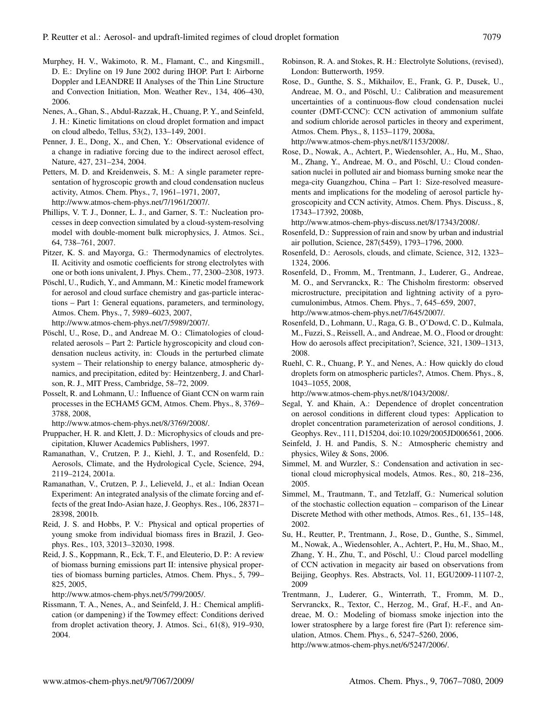- Murphey, H. V., Wakimoto, R. M., Flamant, C., and Kingsmill., D. E.: Dryline on 19 June 2002 during IHOP. Part I: Airborne Doppler and LEANDRE II Analyses of the Thin Line Structure and Convection Initiation, Mon. Weather Rev., 134, 406–430, 2006.
- Nenes, A., Ghan, S., Abdul-Razzak, H., Chuang, P. Y., and Seinfeld, J. H.: Kinetic limitations on cloud droplet formation and impact on cloud albedo, Tellus, 53(2), 133–149, 2001.
- Penner, J. E., Dong, X., and Chen, Y.: Observational evidence of a change in radiative forcing due to the indirect aerosol effect, Nature, 427, 231–234, 2004.
- Petters, M. D. and Kreidenweis, S. M.: A single parameter representation of hygroscopic growth and cloud condensation nucleus activity, Atmos. Chem. Phys., 7, 1961–1971, 2007, http://www.atmos-chem-phys.net/7/1961/2007/.
- Phillips, V. T. J., Donner, L. J., and Garner, S. T.: Nucleation processes in deep convection simulated by a cloud-system-resolving model with double-moment bulk microphysics, J. Atmos. Sci., 64, 738–761, 2007.
- Pitzer, K. S. and Mayorga, G.: Thermodynamics of electrolytes. II. Acitivity and osmotic coefficients for strong electrolytes with one or both ions univalent, J. Phys. Chem., 77, 2300–2308, 1973.
- Pöschl, U., Rudich, Y., and Ammann, M.: Kinetic model framework for aerosol and cloud surface chemistry and gas-particle interactions – Part 1: General equations, parameters, and terminology, Atmos. Chem. Phys., 7, 5989–6023, 2007,
- http://www.atmos-chem-phys.net/7/5989/2007/. Pöschl, U., Rose, D., and Andreae M. O.: Climatologies of cloud-
- related aerosols Part 2: Particle hygroscopicity and cloud condensation nucleus activity, in: Clouds in the perturbed climate system – Their relationship to energy balance, atmospheric dynamics, and precipitation, edited by: Heintzenberg, J. and Charlson, R. J., MIT Press, Cambridge, 58–72, 2009.
- Posselt, R. and Lohmann, U.: Influence of Giant CCN on warm rain processes in the ECHAM5 GCM, Atmos. Chem. Phys., 8, 3769– 3788, 2008,

http://www.atmos-chem-phys.net/8/3769/2008/.

- Pruppacher, H. R. and Klett, J. D.: Microphysics of clouds and precipitation, Kluwer Academics Publishers, 1997.
- Ramanathan, V., Crutzen, P. J., Kiehl, J. T., and Rosenfeld, D.: Aerosols, Climate, and the Hydrological Cycle, Science, 294, 2119–2124, 2001a.
- Ramanathan, V., Crutzen, P. J., Lelieveld, J., et al.: Indian Ocean Experiment: An integrated analysis of the climate forcing and effects of the great Indo-Asian haze, J. Geophys. Res., 106, 28371– 28398, 2001b.
- Reid, J. S. and Hobbs, P. V.: Physical and optical properties of young smoke from individual biomass fires in Brazil, J. Geophys. Res., 103, 32013–32030, 1998.
- Reid, J. S., Koppmann, R., Eck, T. F., and Eleuterio, D. P.: A review of biomass burning emissions part II: intensive physical properties of biomass burning particles, Atmos. Chem. Phys., 5, 799– 825, 2005,

http://www.atmos-chem-phys.net/5/799/2005/.

Rissmann, T. A., Nenes, A., and Seinfeld, J. H.: Chemical amplification (or dampening) if the Towmey effect: Conditions derived from droplet activation theory, J. Atmos. Sci., 61(8), 919–930, 2004.

- Robinson, R. A. and Stokes, R. H.: Electrolyte Solutions, (revised), London: Butterworth, 1959.
- Rose, D., Gunthe, S. S., Mikhailov, E., Frank, G. P., Dusek, U., Andreae, M. O., and Pöschl, U.: Calibration and measurement uncertainties of a continuous-flow cloud condensation nuclei counter (DMT-CCNC): CCN activation of ammonium sulfate and sodium chloride aerosol particles in theory and experiment, Atmos. Chem. Phys., 8, 1153–1179, 2008a, http://www.atmos-chem-phys.net/8/1153/2008/.
- Rose, D., Nowak, A., Achtert, P., Wiedensohler, A., Hu, M., Shao, M., Zhang, Y., Andreae, M. O., and Pöschl, U.: Cloud conden-
- sation nuclei in polluted air and biomass burning smoke near the mega-city Guangzhou, China – Part 1: Size-resolved measurements and implications for the modeling of aerosol particle hygroscopicity and CCN activity, Atmos. Chem. Phys. Discuss., 8, 17343–17392, 2008b,

http://www.atmos-chem-phys-discuss.net/8/17343/2008/.

- Rosenfeld, D.: Suppression of rain and snow by urban and industrial air pollution, Science, 287(5459), 1793–1796, 2000.
- Rosenfeld, D.: Aerosols, clouds, and climate, Science, 312, 1323– 1324, 2006.
- Rosenfeld, D., Fromm, M., Trentmann, J., Luderer, G., Andreae, M. O., and Servranckx, R.: The Chisholm firestorm: observed microstructure, precipitation and lightning activity of a pyrocumulonimbus, Atmos. Chem. Phys., 7, 645–659, 2007, http://www.atmos-chem-phys.net/7/645/2007/.
- Rosenfeld, D., Lohmann, U., Raga, G. B., O'Dowd, C. D., Kulmala, M., Fuzzi, S., Reissell, A., and Andreae, M. O., Flood or drought: How do aerosols affect precipitation?, Science, 321, 1309–1313, 2008.
- Ruehl, C. R., Chuang, P. Y., and Nenes, A.: How quickly do cloud droplets form on atmospheric particles?, Atmos. Chem. Phys., 8, 1043–1055, 2008,

http://www.atmos-chem-phys.net/8/1043/2008/.

- Segal, Y. and Khain, A.: Dependence of droplet concentration on aerosol conditions in different cloud types: Application to droplet concentration parameterization of aerosol conditions, J. Geophys. Rev., 111, D15204, doi:10.1029/2005JD006561, 2006.
- Seinfeld, J. H. and Pandis, S. N.: Atmospheric chemistry and physics, Wiley & Sons, 2006.
- Simmel, M. and Wurzler, S.: Condensation and activation in sectional cloud microphysical models, Atmos. Res., 80, 218–236, 2005.
- Simmel, M., Trautmann, T., and Tetzlaff, G.: Numerical solution of the stochastic collection equation – comparison of the Linear Discrete Method with other methods, Atmos. Res., 61, 135–148, 2002.
- Su, H., Reutter, P., Trentmann, J., Rose, D., Gunthe, S., Simmel, M., Nowak, A., Wiedensohler, A., Achtert, P., Hu, M., Shao, M., Zhang, Y. H., Zhu, T., and Pöschl, U.: Cloud parcel modelling of CCN activation in megacity air based on observations from Beijing, Geophys. Res. Abstracts, Vol. 11, EGU2009-11107-2, 2009
- Trentmann, J., Luderer, G., Winterrath, T., Fromm, M. D., Servranckx, R., Textor, C., Herzog, M., Graf, H.-F., and Andreae, M. O.: Modeling of biomass smoke injection into the lower stratosphere by a large forest fire (Part I): reference simulation, Atmos. Chem. Phys., 6, 5247–5260, 2006, http://www.atmos-chem-phys.net/6/5247/2006/.